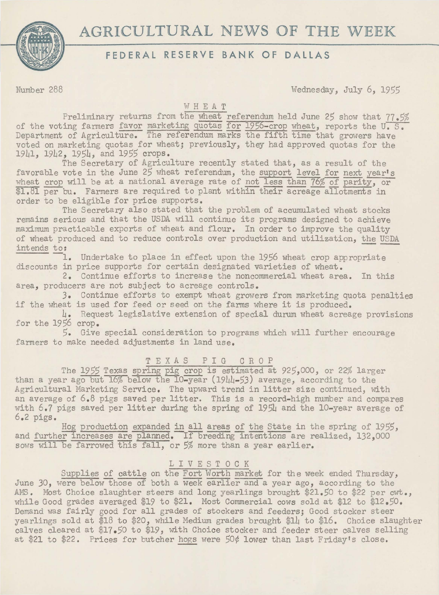**AGRICULTURAL** NEWS **OF THE** WEEK



# **FEDERAL RESERVE BANK OF DALLAS**

Number 288 Wednesday, July 6, 1955

## WHEAT

Preliminary returns from the wheat referendum held June 25 show that 77.5% of the voting farmers favor marketing quotas for 1956-crop wheat, reports the U.S. Department of Agriculture. The referendum marks the fifth time that growers have voted on marketing quotas for wheat; previously, they had approved quotas for the 19Ll, 19L2, 195L, and 1955 crops.

The Secretary of Agriculture recently stated that, as a result of the favorable vote in the June 25 wheat referendum, the support level for next year's wheat crop will be at a national average rate of not less than 76% of parity, or<br>\$1.81 per bu. Farmers are required to plant within their acreage allotments in order to be eligible for price supports.

The Secretary also stated that the problem of accumulated wheat stocks remains serious and that the USDA will continue its programs designed to achieve maximum practicable exports of wheat and flour. In order to improve the quality of wheat produced and to reduce controls over production and utilization, the USDA intends to:

1. Undertake to place in effect upon the 1956 wheat crop appropriate discounts in price supports for certain designated varieties of wheat.

2. Continue efforts to increase the noncommercial wheat area. In this area, producers are not subject to acreage controls.

3. Continue efforts to exempt wheat growers from marketing quota penalties if the wheat is used for feed or seed on the farms where it is produced.

4. Request legislative extension of special durum wheat acreage provisions for the 1956 crop.

5. Give special consideration to programs which will further encourage farmers to make needed adjustments in land use.

## T EX AS P I G C R 0 P

The 1955 Texas spring pig crop is estimated at 925,000, or 22% larger than a year ago but  $16\%$  below the 10-year (19 $\mu$ 1-53) average, according to the Agricultural Marketing Service. The upward trend in litter size continued, with an average of 6.8 pigs saved per litter. This is a record-high number and compares with 6.7 pigs saved per litter during the spring of 1954 and the 10-year average of 6.2 pigs.

Hog production expanded in all areas of the State in the spring of 1955, and further increases are planned. If breeding intentions are realized, 132,000 sows will be farrowed this fall, or 5% more than a year earlier.

## LIVESTOCK

Supplies of cattle on the Fort Worth market for the week ended Thursday, June 30, were below those of both a week earlier and a year ago, according to the AMS. Most Choice slaughter steers and long yearlings brought \$21.50 to \$22 per cwt., while Good grades averaged \$19 to \$21. Most Commercial cows sold at \$12 to \$12.50. Demand was fairly good for all grades of stockers and feeders; Good stocker steer yearlings sold at \$18 to \$20, while Medium grades brought \$14 to \$16. Choice slaughter calves cleared at \$17.50 to \$19, with Choice stocker and feeder steer calves selling at \$21 to \$22. Prices for butcher hogs were *50¢* lower than last Friday's close.